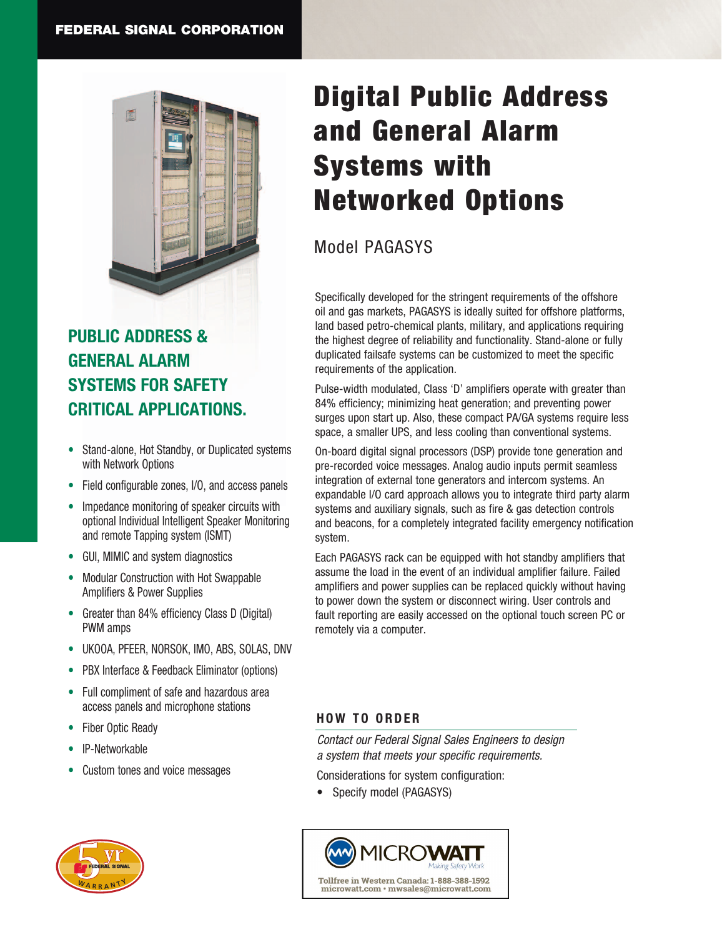

## **PUBLIC ADDRESS & GENERAL ALARM SYSTEMS FOR SAFETY CRITICAL APPLICATIONS.**

- Stand-alone, Hot Standby, or Duplicated systems with Network Options
- Field configurable zones, I/O, and access panels
- Impedance monitoring of speaker circuits with optional Individual Intelligent Speaker Monitoring and remote Tapping system (ISMT)
- GUI, MIMIC and system diagnostics
- Modular Construction with Hot Swappable Amplifiers & Power Supplies
- Greater than 84% efficiency Class D (Digital) PWM amps
- UKOOA, PFEER, NORSOK, IMO, ABS, SOLAS, DNV
- PBX Interface & Feedback Eliminator (options)
- Full compliment of safe and hazardous area access panels and microphone stations
- Fiber Optic Ready
- IP-Networkable
- Custom tones and voice messages



# Digital Public Address and General Alarm Systems with Networked Options

## Model PAGASYS

Specifically developed for the stringent requirements of the offshore oil and gas markets, PAGASYS is ideally suited for offshore platforms, land based petro-chemical plants, military, and applications requiring the highest degree of reliability and functionality. Stand-alone or fully duplicated failsafe systems can be customized to meet the specific requirements of the application.

Pulse-width modulated, Class 'D' amplifiers operate with greater than 84% efficiency; minimizing heat generation; and preventing power surges upon start up. Also, these compact PA/GA systems require less space, a smaller UPS, and less cooling than conventional systems.

On-board digital signal processors (DSP) provide tone generation and pre-recorded voice messages. Analog audio inputs permit seamless integration of external tone generators and intercom systems. An expandable I/O card approach allows you to integrate third party alarm systems and auxiliary signals, such as fire & gas detection controls and beacons, for a completely integrated facility emergency notification system.

Each PAGASYS rack can be equipped with hot standby amplifiers that assume the load in the event of an individual amplifier failure. Failed amplifiers and power supplies can be replaced quickly without having to power down the system or disconnect wiring. User controls and fault reporting are easily accessed on the optional touch screen PC or remotely via a computer.

### **HOW TO ORDER**

*Contact our Federal Signal Sales Engineers to design a system that meets your specific requirements.*

Considerations for system configuration:

• Specify model (PAGASYS)